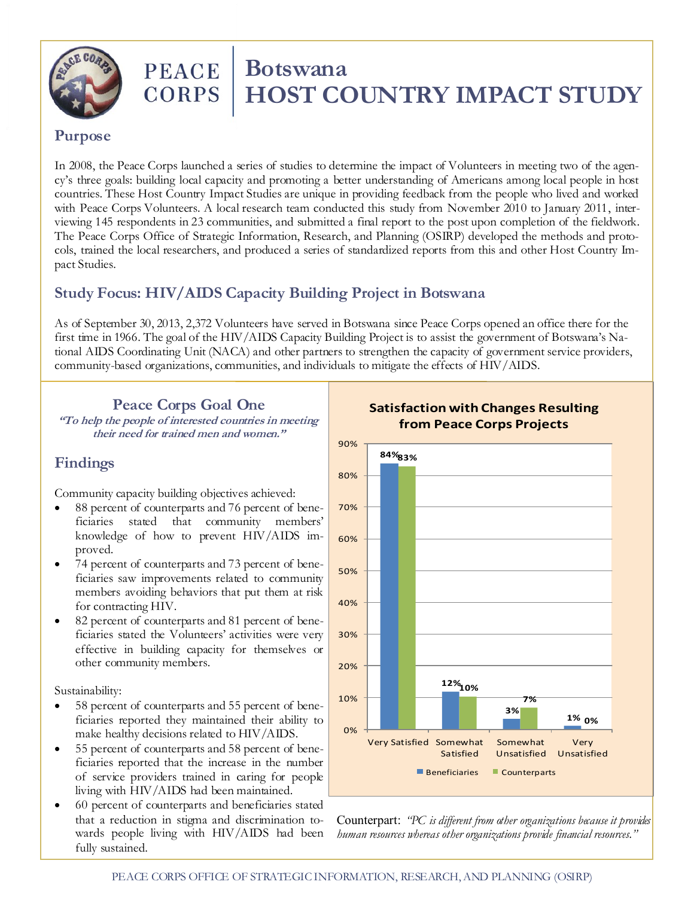

# **PEACE** | **Botswana**<br>CORPS | **HOST CC HOST COUNTRY IMPACT STUDY**

#### **Purpose**

In 2008, the Peace Corps launched a series of studies to determine the impact of Volunteers in meeting two of the agency's three goals: building local capacity and promoting a better understanding of Americans among local people in host countries. These Host Country Impact Studies are unique in providing feedback from the people who lived and worked with Peace Corps Volunteers. A local research team conducted this study from November 2010 to January 2011, interviewing 145 respondents in 23 communities, and submitted a final report to the post upon completion of the fieldwork. The Peace Corps Office of Strategic Information, Research, and Planning (OSIRP) developed the methods and protocols, trained the local researchers, and produced a series of standardized reports from this and other Host Country Impact Studies.

# **Study Focus: HIV/AIDS Capacity Building Project in Botswana**

As of September 30, 2013, 2,372 Volunteers have served in Botswana since Peace Corps opened an office there for the first time in 1966. The goal of the HIV/AIDS Capacity Building Project is to assist the government of Botswana's National AIDS Coordinating Unit (NACA) and other partners to strengthen the capacity of government service providers, community-based organizations, communities, and individuals to mitigate the effects of HIV/AIDS.

**Peace Corps Goal One "To help the people of interested countries in meeting their need for trained men and women."**

## **Findings**

Community capacity building objectives achieved:

- 88 percent of counterparts and 76 percent of beneficiaries stated that community members' knowledge of how to prevent HIV/AIDS improved.
- 74 percent of counterparts and 73 percent of beneficiaries saw improvements related to community members avoiding behaviors that put them at risk for contracting HIV.
- 82 percent of counterparts and 81 percent of beneficiaries stated the Volunteers' activities were very effective in building capacity for themselves or other community members.

Sustainability:

- 58 percent of counterparts and 55 percent of beneficiaries reported they maintained their ability to make healthy decisions related to HIV/AIDS.
- 55 percent of counterparts and 58 percent of beneficiaries reported that the increase in the number of service providers trained in caring for people living with HIV/AIDS had been maintained.
- 60 percent of counterparts and beneficiaries stated that a reduction in stigma and discrimination towards people living with HIV/AIDS had been fully sustained.



**Satisfaction with Changes Resulting** 

Counterpart: *"PC is different from other organizations because it provides*